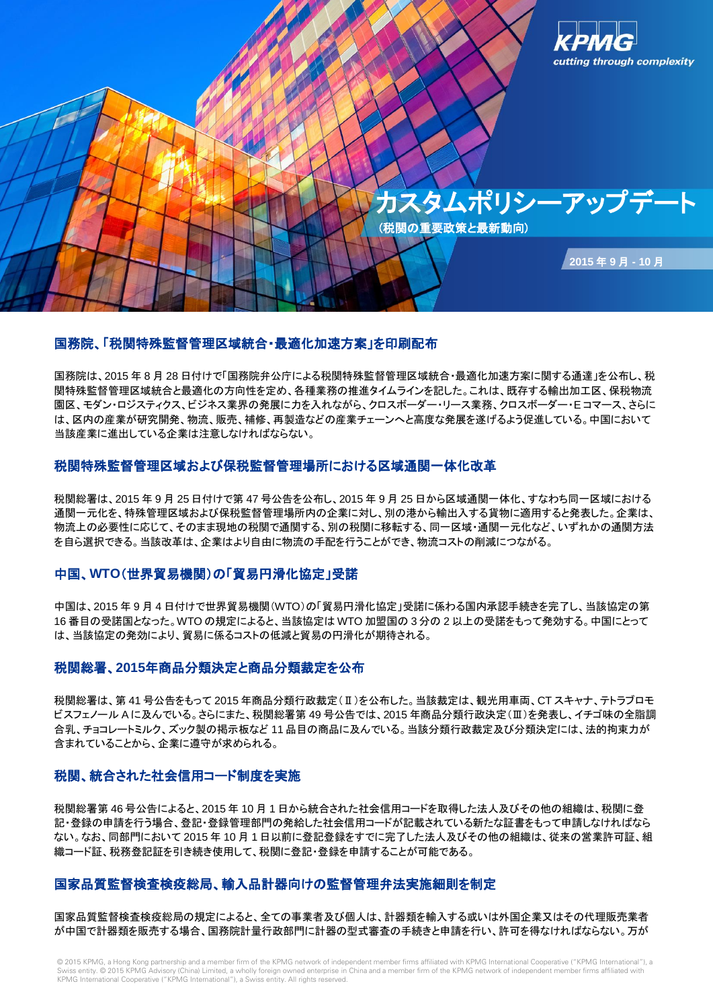

## 国務院、「税関特殊監督管理区域統合・最適化加速方案」を印刷配布

国務院は、2015 年 8 月 28 日付けで「国務院弁公庁による税関特殊監督管理区域統合・最適化加速方案に関する通達」を公布し、税 関特殊監督管理区域統合と最適化の方向性を定め、各種業務の推進タイムラインを記した。これは、既存する輸出加工区、保税物流 園区、モダン・ロジスティクス、ビジネス業界の発展に力を入れながら、クロスボーダー・リース業務、クロスボーダー・E コマース、さらに は、区内の産業が研究開発、物流、販売、補修、再製造などの産業チェーンへと高度な発展を遂げるよう促進している。中国において 当該産業に進出している企業は注意しなければならない。

# 税関特殊監督管理区域および保税監督管理場所における区域通関一体化改革

税関総署は、2015 年 9 月 25 日付けで第 47 号公告を公布し、2015 年 9 月 25 日から区域通関一体化、すなわち同一区域における 通関一元化を、特殊管理区域および保税監督管理場所内の企業に対し、別の港から輸出入する貨物に適用すると発表した。企業は、 物流上の必要性に応じて、そのまま現地の税関で通関する、別の税関に移転する、同一区域・通関一元化など、いずれかの通関方法 を自ら選択できる。当該改革は、企業はより自由に物流の手配を行うことができ、物流コストの削減につながる。

#### 中国、**WTO**(世界貿易機関)の「貿易円滑化協定」受諾

中国は、2015 年 9 月 4 日付けで世界貿易機関(WTO)の「貿易円滑化協定」受諾に係わる国内承認手続きを完了し、当該協定の第 16 番目の受諾国となった。WTO の規定によると、当該協定は WTO 加盟国の 3 分の 2 以上の受諾をもって発効する。中国にとって は、当該協定の発効により、貿易に係るコストの低減と貿易の円滑化が期待される。

## 税関総署、**2015**年商品分類決定と商品分類裁定を公布

税関総署は、第 41 号公告をもって 2015 年商品分類行政裁定(Ⅱ)を公布した。当該裁定は、観光用車両、CT スキャナ、テトラブロモ ビスフェノール A に及んでいる。さらにまた、税関総署第 49 号公告では、2015 年商品分類行政決定(Ⅲ)を発表し、イチゴ味の全脂調 合乳、チョコレートミルク、ズック製の掲示板など 11 品目の商品に及んでいる。当該分類行政裁定及び分類決定には、法的拘束力が 含まれていることから、企業に遵守が求められる。

## 税関、統合された社会信用コード制度を実施

税関総署第 46 号公告によると、2015 年 10 月 1 日から統合された社会信用コードを取得した法人及びその他の組織は、税関に登 記・登録の申請を行う場合、登記・登録管理部門の発給した社会信用コードが記載されている新たな証書をもって申請しなければなら ない。なお、同部門において 2015 年 10 月 1 日以前に登記登録をすでに完了した法人及びその他の組織は、従来の営業許可証、組 織コード証、税務登記証を引き続き使用して、税関に登記・登録を申請することが可能である。

## 国家品質監督検査検疫総局、輸入品計器向けの監督管理弁法実施細則を制定

国家品質監督検査検疫総局の規定によると、全ての事業者及び個人は、計器類を輸入する或いは外国企業又はその代理販売業者 が中国で計器類を販売する場合、国務院計量行政部門に計器の型式審査の手続きと申請を行い、許可を得なければならない。万が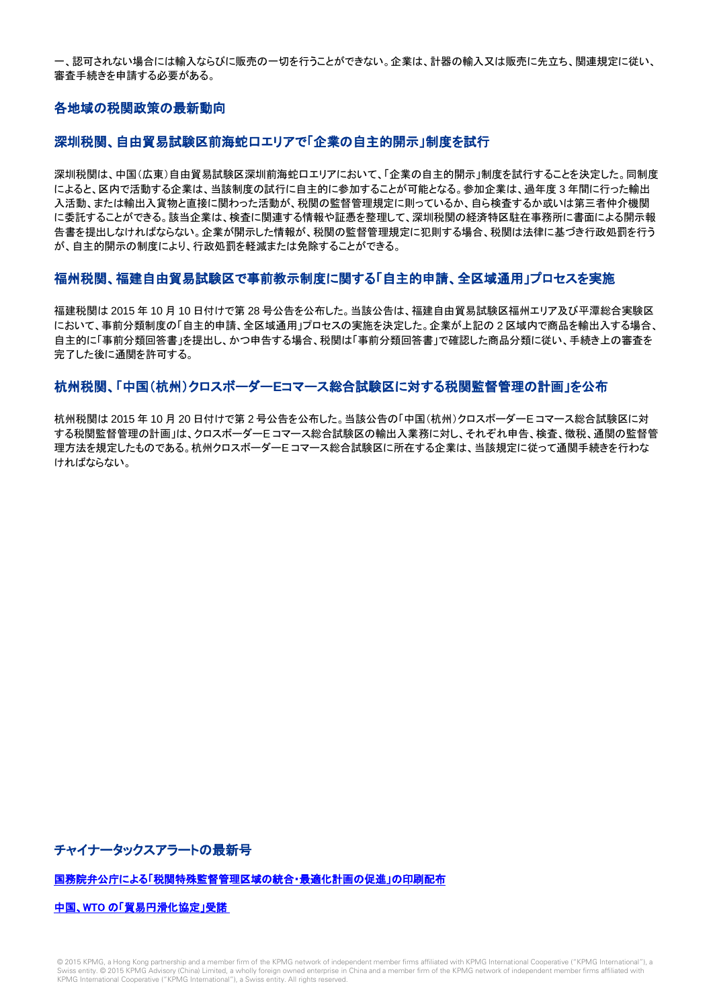一、認可されない場合には輸入ならびに販売の一切を行うことができない。企業は、計器の輸入又は販売に先立ち、関連規定に従い、 審査手続きを申請する必要がある。

## 各地域の税関政策の最新動向

#### 深圳税関、自由貿易試験区前海蛇口エリアで「企業の自主的開示」制度を試行

深圳税関は、中国(広東)自由貿易試験区深圳前海蛇口エリアにおいて、「企業の自主的開示」制度を試行することを決定した。同制度 によると、区内で活動する企業は、当該制度の試行に自主的に参加することが可能となる。参加企業は、過年度 3 年間に行った輸出 入活動、または輸出入貨物と直接に関わった活動が、税関の監督管理規定に則っているか、自ら検査するか或いは第三者仲介機関 に委託することができる。該当企業は、検査に関連する情報や証憑を整理して、深圳税関の経済特区駐在事務所に書面による開示報 告書を提出しなければならない。企業が開示した情報が、税関の監督管理規定に犯則する場合、税関は法律に基づき行政処罰を行う が、自主的開示の制度により、行政処罰を軽減または免除することができる。

## 福州税関、福建自由貿易試験区で事前教示制度に関する「自主的申請、全区域通用」プロセスを実施

福建税関は 2015 年 10 月 10 日付けで第 28 号公告を公布した。当該公告は、福建自由貿易試験区福州エリア及び平潭総合実験区 において、事前分類制度の「自主的申請、全区域通用」プロセスの実施を決定した。企業が上記の 2 区域内で商品を輸出入する場合、 自主的に「事前分類回答書」を提出し、かつ申告する場合、税関は「事前分類回答書」で確認した商品分類に従い、手続き上の審査を 完了した後に通関を許可する。

## 杭州税関、「中国(杭州)クロスボーダー**E**コマース総合試験区に対する税関監督管理の計画」を公布

杭州税関は 2015 年 10 月 20 日付けで第 2 号公告を公布した。当該公告の「中国(杭州)クロスボーダーE コマース総合試験区に対 する税関監督管理の計画」は、クロスボーダーE コマース総合試験区の輸出入業務に対し、それぞれ申告、検査、徴税、通関の監督管 理方法を規定したものである。杭州クロスボーダーE コマース総合試験区に所在する企業は、当該規定に従って通関手続きを行わな ければならない。

チャイナータックスアラートの最新号

#### [国務院弁公庁による「税関特殊監督管理区域の統合・最適化計画の促進」の印刷配布](http://www.kpmg.com/CN/zh/IssuesAndInsights/ArticlesPublications/Newsletters/ChinaAlerts/Documents/China-tax-alert-1509-27-Special-Customs-Supervision-integration-optimization-plan-c.pdf)

中国、WTO [の「貿易円滑化協定」受諾](http://www.kpmg.com/CN/zh/IssuesAndInsights/ArticlesPublications/Newsletters/ChinaAlerts/Documents/China-tax-alert-1509-22-China-Ratifies-WTO-Trade-Facilitation-Agreement-c.pdf)